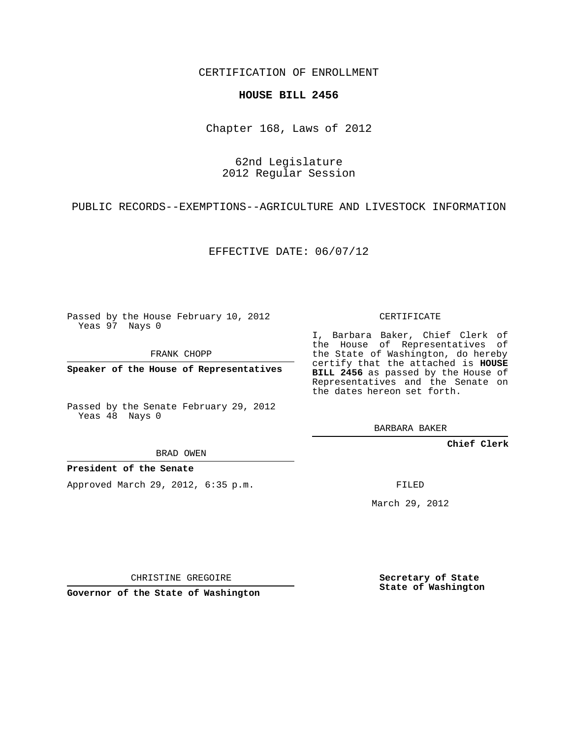CERTIFICATION OF ENROLLMENT

## **HOUSE BILL 2456**

Chapter 168, Laws of 2012

62nd Legislature 2012 Regular Session

PUBLIC RECORDS--EXEMPTIONS--AGRICULTURE AND LIVESTOCK INFORMATION

EFFECTIVE DATE: 06/07/12

Passed by the House February 10, 2012 Yeas 97 Nays 0

FRANK CHOPP

**Speaker of the House of Representatives**

Passed by the Senate February 29, 2012 Yeas 48 Nays 0

BRAD OWEN

**President of the Senate**

Approved March 29, 2012, 6:35 p.m.

CERTIFICATE

I, Barbara Baker, Chief Clerk of the House of Representatives of the State of Washington, do hereby certify that the attached is **HOUSE BILL 2456** as passed by the House of Representatives and the Senate on the dates hereon set forth.

BARBARA BAKER

**Chief Clerk**

FILED

March 29, 2012

CHRISTINE GREGOIRE

**Governor of the State of Washington**

**Secretary of State State of Washington**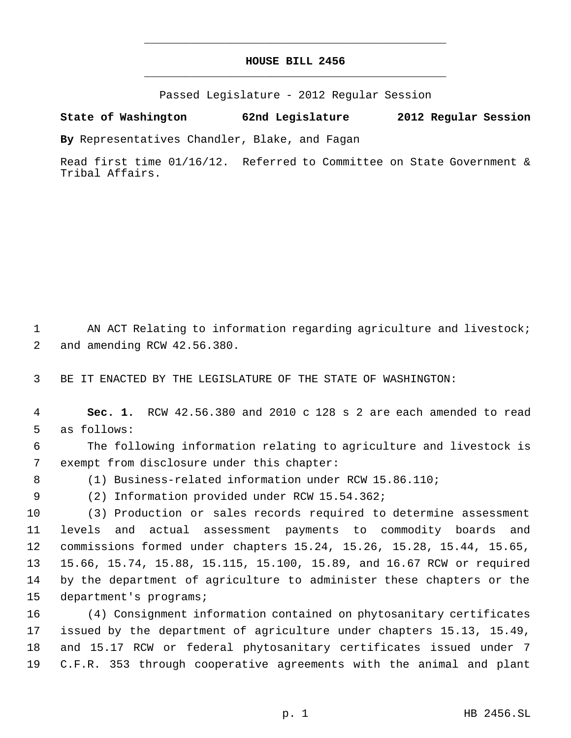## **HOUSE BILL 2456** \_\_\_\_\_\_\_\_\_\_\_\_\_\_\_\_\_\_\_\_\_\_\_\_\_\_\_\_\_\_\_\_\_\_\_\_\_\_\_\_\_\_\_\_\_

\_\_\_\_\_\_\_\_\_\_\_\_\_\_\_\_\_\_\_\_\_\_\_\_\_\_\_\_\_\_\_\_\_\_\_\_\_\_\_\_\_\_\_\_\_

Passed Legislature - 2012 Regular Session

## **State of Washington 62nd Legislature 2012 Regular Session**

**By** Representatives Chandler, Blake, and Fagan

Read first time 01/16/12. Referred to Committee on State Government & Tribal Affairs.

1 AN ACT Relating to information regarding agriculture and livestock; and amending RCW 42.56.380.

BE IT ENACTED BY THE LEGISLATURE OF THE STATE OF WASHINGTON:

 **Sec. 1.** RCW 42.56.380 and 2010 c 128 s 2 are each amended to read as follows:

 The following information relating to agriculture and livestock is exempt from disclosure under this chapter:

(1) Business-related information under RCW 15.86.110;

(2) Information provided under RCW 15.54.362;

 (3) Production or sales records required to determine assessment levels and actual assessment payments to commodity boards and commissions formed under chapters 15.24, 15.26, 15.28, 15.44, 15.65, 15.66, 15.74, 15.88, 15.115, 15.100, 15.89, and 16.67 RCW or required by the department of agriculture to administer these chapters or the department's programs;

 (4) Consignment information contained on phytosanitary certificates issued by the department of agriculture under chapters 15.13, 15.49, and 15.17 RCW or federal phytosanitary certificates issued under 7 C.F.R. 353 through cooperative agreements with the animal and plant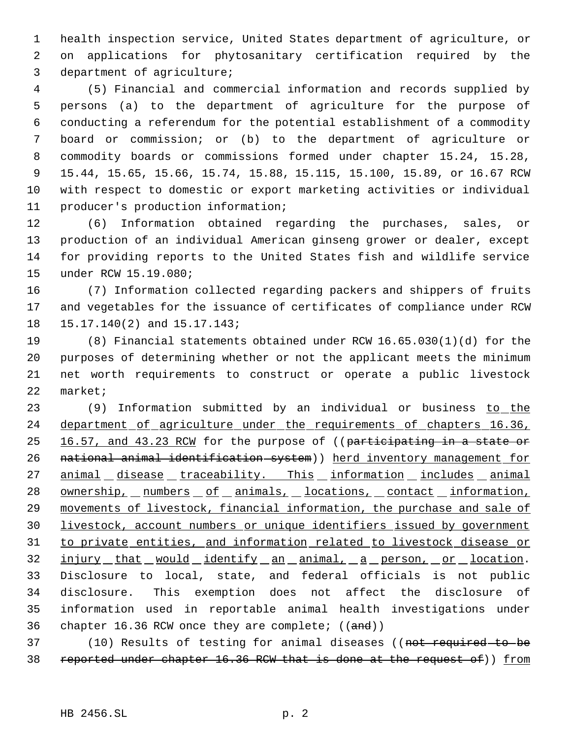health inspection service, United States department of agriculture, or on applications for phytosanitary certification required by the department of agriculture;

 (5) Financial and commercial information and records supplied by persons (a) to the department of agriculture for the purpose of conducting a referendum for the potential establishment of a commodity board or commission; or (b) to the department of agriculture or commodity boards or commissions formed under chapter 15.24, 15.28, 15.44, 15.65, 15.66, 15.74, 15.88, 15.115, 15.100, 15.89, or 16.67 RCW with respect to domestic or export marketing activities or individual producer's production information;

 (6) Information obtained regarding the purchases, sales, or production of an individual American ginseng grower or dealer, except for providing reports to the United States fish and wildlife service under RCW 15.19.080;

 (7) Information collected regarding packers and shippers of fruits and vegetables for the issuance of certificates of compliance under RCW 15.17.140(2) and 15.17.143;

 (8) Financial statements obtained under RCW 16.65.030(1)(d) for the purposes of determining whether or not the applicant meets the minimum net worth requirements to construct or operate a public livestock market;

23 (9) Information submitted by an individual or business to the 24 department of agriculture under the requirements of chapters 16.36, 25 16.57, and 43.23 RCM for the purpose of ((participating in a state or 26 national animal identification system)) herd inventory management for 27 animal disease traceability. This information includes animal 28 ownership, numbers of animals, locations, contact information, movements of livestock, financial information, the purchase and sale of livestock, account numbers or unique identifiers issued by government to private entities, and information related to livestock disease or 32 injury that would identify an animal, a person, or location. Disclosure to local, state, and federal officials is not public disclosure. This exemption does not affect the disclosure of information used in reportable animal health investigations under 36 chapter 16.36 RCW once they are complete;  $((and))$ 

37 (10) Results of testing for animal diseases ((not required to be 38 reported under chapter 16.36 RCW that is done at the request of)) from